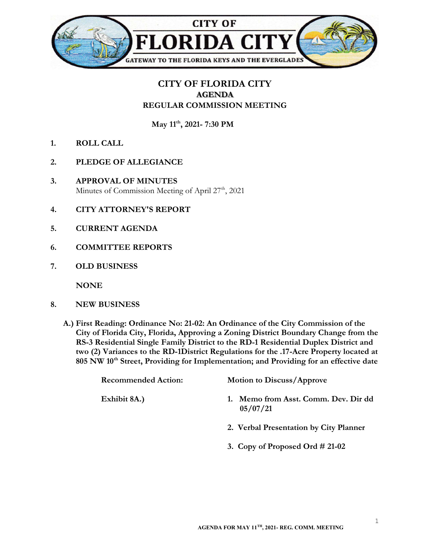

## CITY OF FLORIDA CITY AGENDA REGULAR COMMISSION MEETING

May 11<sup>th</sup>, 2021- 7:30 PM

- 1. ROLL CALL
- 2. PLEDGE OF ALLEGIANCE
- 3. APPROVAL OF MINUTES Minutes of Commission Meeting of April 27<sup>th</sup>, 2021
- 4. CITY ATTORNEY'S REPORT
- 5. CURRENT AGENDA
- 6. COMMITTEE REPORTS
- 7. OLD BUSINESS

**NONE** 

- 8. NEW BUSINESS
	- A.) First Reading: Ordinance No: 21-02: An Ordinance of the City Commission of the City of Florida City, Florida, Approving a Zoning District Boundary Change from the RS-3 Residential Single Family District to the RD-1 Residential Duplex District and two (2) Variances to the RD-1District Regulations for the .17-Acre Property located at 805 NW 10<sup>th</sup> Street, Providing for Implementation; and Providing for an effective date

| <b>Recommended Action:</b> | <b>Motion to Discuss/Approve</b>              |
|----------------------------|-----------------------------------------------|
| Exhibit 8A.)               | Memo from Asst. Comm. Dev. Dir dd<br>05/07/21 |
|                            | 2. Verbal Presentation by City Planner        |
|                            | 3. Copy of Proposed Ord $\#$ 21-02            |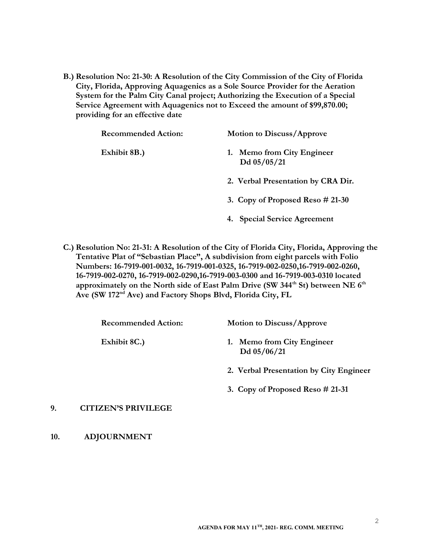B.) Resolution No: 21-30: A Resolution of the City Commission of the City of Florida City, Florida, Approving Aquagenics as a Sole Source Provider for the Aeration System for the Palm City Canal project; Authorizing the Execution of a Special Service Agreement with Aquagenics not to Exceed the amount of \$99,870.00; providing for an effective date

| <b>Recommended Action:</b> | <b>Motion to Discuss/Approve</b>            |
|----------------------------|---------------------------------------------|
| Exhibit 8B.)               | 1. Memo from City Engineer<br>Dd $05/05/21$ |
|                            | 2. Verbal Presentation by CRA Dir.          |
|                            | 3. Copy of Proposed Reso $\#$ 21-30         |
|                            | 4. Special Service Agreement                |

C.) Resolution No: 21-31: A Resolution of the City of Florida City, Florida, Approving the Tentative Plat of "Sebastian Place", A subdivision from eight parcels with Folio Numbers: 16-7919-001-0032, 16-7919-001-0325, 16-7919-002-0250,16-7919-002-0260, 16-7919-002-0270, 16-7919-002-0290,16-7919-003-0300 and 16-7919-003-0310 located approximately on the North side of East Palm Drive (SW 344<sup>th</sup> St) between NE  $6<sup>th</sup>$ Ave (SW 172nd Ave) and Factory Shops Blvd, Florida City, FL

| <b>Recommended Action:</b> | <b>Motion to Discuss/Approve</b>          |
|----------------------------|-------------------------------------------|
| Exhibit 8C.)               | 1. Memo from City Engineer<br>Dd 05/06/21 |
|                            | 2. Verbal Presentation by City Engineer   |

## 9. CITIZEN'S PRIVILEGE

10. ADJOURNMENT

3. Copy of Proposed Reso # 21-31